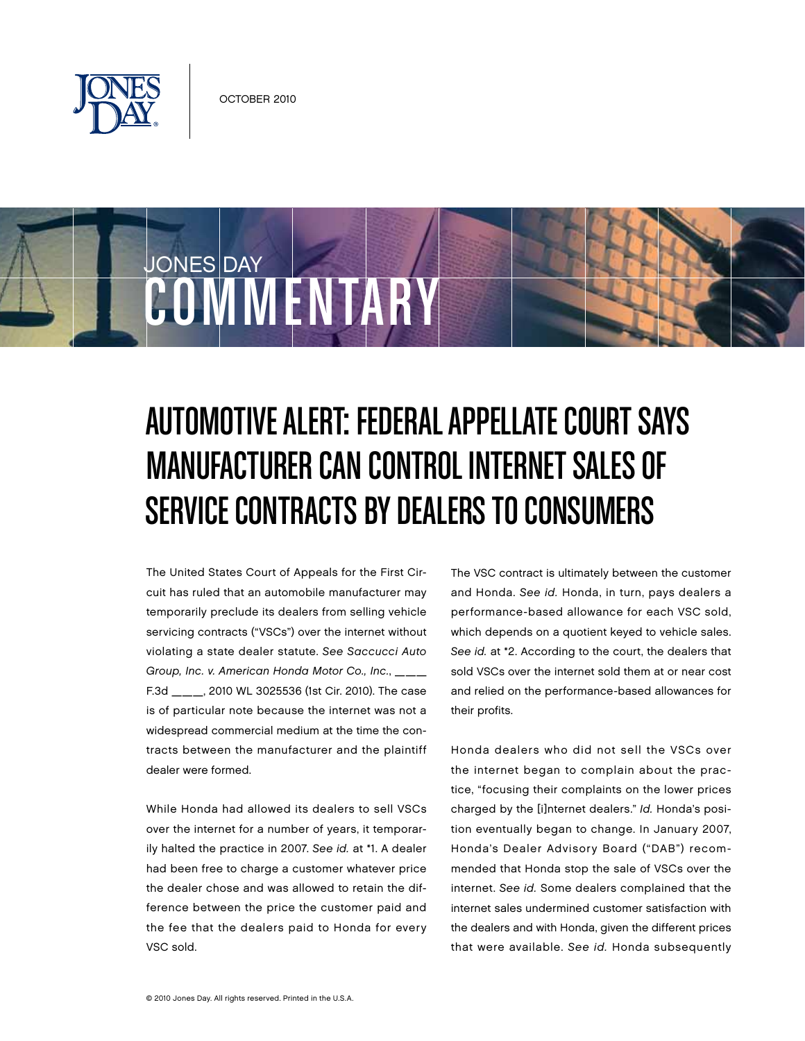

COMMENTARY

JONES DAY

## Automotive Alert: Federal Appellate Court Says Manufacturer Can Control Internet Sales of Service Contracts by Dealers to Consumers

The United States Court of Appeals for the First Circuit has ruled that an automobile manufacturer may temporarily preclude its dealers from selling vehicle servicing contracts ("VSCs") over the internet without violating a state dealer statute. See Saccucci Auto Group, Inc. v. American Honda Motor Co., Inc., \_\_\_ F.3d \_\_\_, 2010 WL 3025536 (1st Cir. 2010). The case is of particular note because the internet was not a widespread commercial medium at the time the contracts between the manufacturer and the plaintiff dealer were formed.

While Honda had allowed its dealers to sell VSCs over the internet for a number of years, it temporarily halted the practice in 2007. See id. at \*1. A dealer had been free to charge a customer whatever price the dealer chose and was allowed to retain the difference between the price the customer paid and the fee that the dealers paid to Honda for every VSC sold.

The VSC contract is ultimately between the customer and Honda. See id. Honda, in turn, pays dealers a performance-based allowance for each VSC sold, which depends on a quotient keyed to vehicle sales. See id. at \*2. According to the court, the dealers that sold VSCs over the internet sold them at or near cost and relied on the performance-based allowances for their profits.

Honda dealers who did not sell the VSCs over the internet began to complain about the practice, "focusing their complaints on the lower prices charged by the [i]nternet dealers." Id. Honda's position eventually began to change. In January 2007, Honda's Dealer Advisory Board ("DAB") recommended that Honda stop the sale of VSCs over the internet. See id. Some dealers complained that the internet sales undermined customer satisfaction with the dealers and with Honda, given the different prices that were available. See id. Honda subsequently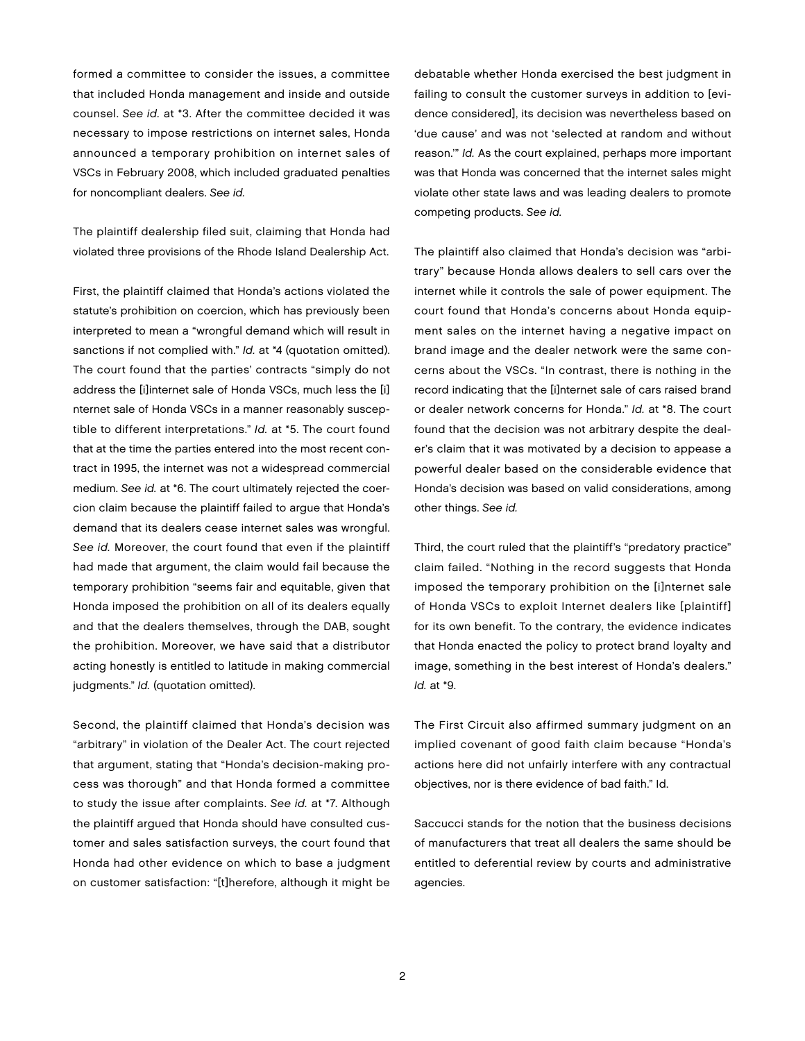formed a committee to consider the issues, a committee that included Honda management and inside and outside counsel. See id. at \*3. After the committee decided it was necessary to impose restrictions on internet sales, Honda announced a temporary prohibition on internet sales of VSCs in February 2008, which included graduated penalties for noncompliant dealers. See id.

The plaintiff dealership filed suit, claiming that Honda had violated three provisions of the Rhode Island Dealership Act.

First, the plaintiff claimed that Honda's actions violated the statute's prohibition on coercion, which has previously been interpreted to mean a "wrongful demand which will result in sanctions if not complied with." Id. at \*4 (quotation omitted). The court found that the parties' contracts "simply do not address the [i]internet sale of Honda VSCs, much less the [i] nternet sale of Honda VSCs in a manner reasonably susceptible to different interpretations." Id. at \*5. The court found that at the time the parties entered into the most recent contract in 1995, the internet was not a widespread commercial medium. See id. at \*6. The court ultimately rejected the coercion claim because the plaintiff failed to argue that Honda's demand that its dealers cease internet sales was wrongful. See id. Moreover, the court found that even if the plaintiff had made that argument, the claim would fail because the temporary prohibition "seems fair and equitable, given that Honda imposed the prohibition on all of its dealers equally and that the dealers themselves, through the DAB, sought the prohibition. Moreover, we have said that a distributor acting honestly is entitled to latitude in making commercial judgments." Id. (quotation omitted).

Second, the plaintiff claimed that Honda's decision was "arbitrary" in violation of the Dealer Act. The court rejected that argument, stating that "Honda's decision-making process was thorough" and that Honda formed a committee to study the issue after complaints. See id. at \*7. Although the plaintiff argued that Honda should have consulted customer and sales satisfaction surveys, the court found that Honda had other evidence on which to base a judgment on customer satisfaction: "[t]herefore, although it might be

debatable whether Honda exercised the best judgment in failing to consult the customer surveys in addition to [evidence considered], its decision was nevertheless based on 'due cause' and was not 'selected at random and without reason.'" Id. As the court explained, perhaps more important was that Honda was concerned that the internet sales might violate other state laws and was leading dealers to promote competing products. See id.

The plaintiff also claimed that Honda's decision was "arbitrary" because Honda allows dealers to sell cars over the internet while it controls the sale of power equipment. The court found that Honda's concerns about Honda equipment sales on the internet having a negative impact on brand image and the dealer network were the same concerns about the VSCs. "In contrast, there is nothing in the record indicating that the [i]nternet sale of cars raised brand or dealer network concerns for Honda." Id. at \*8. The court found that the decision was not arbitrary despite the dealer's claim that it was motivated by a decision to appease a powerful dealer based on the considerable evidence that Honda's decision was based on valid considerations, among other things. See id.

Third, the court ruled that the plaintiff's "predatory practice" claim failed. "Nothing in the record suggests that Honda imposed the temporary prohibition on the [i]nternet sale of Honda VSCs to exploit Internet dealers like [plaintiff] for its own benefit. To the contrary, the evidence indicates that Honda enacted the policy to protect brand loyalty and image, something in the best interest of Honda's dealers." Id. at \*9.

The First Circuit also affirmed summary judgment on an implied covenant of good faith claim because "Honda's actions here did not unfairly interfere with any contractual objectives, nor is there evidence of bad faith." Id.

Saccucci stands for the notion that the business decisions of manufacturers that treat all dealers the same should be entitled to deferential review by courts and administrative agencies.